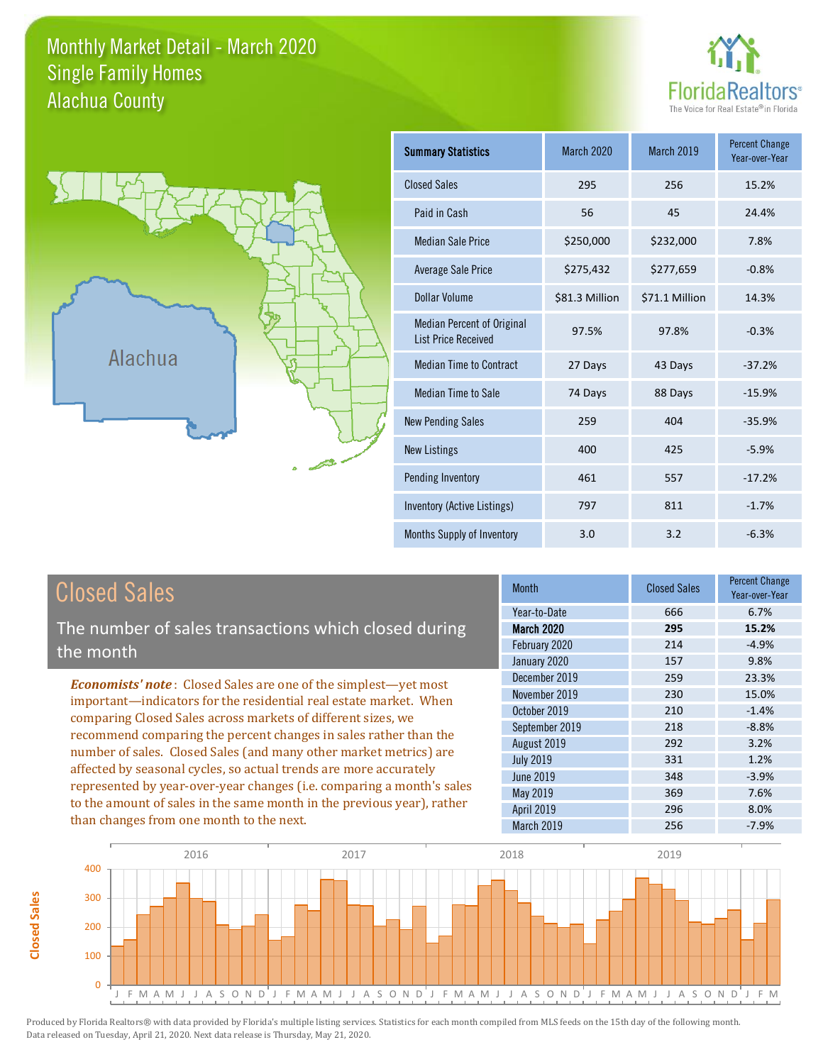## Monthly Market Detail - March 2020 Alachua County Single Family Homes





**Closed Sales**

**Closed Sales** 

| <b>Summary Statistics</b>                                       | March 2020     | <b>March 2019</b> | <b>Percent Change</b><br>Year-over-Year |
|-----------------------------------------------------------------|----------------|-------------------|-----------------------------------------|
| <b>Closed Sales</b>                                             | 295            | 256               | 15.2%                                   |
| Paid in Cash                                                    | 56             | 45                | 24.4%                                   |
| <b>Median Sale Price</b>                                        | \$250,000      | \$232,000         | 7.8%                                    |
| <b>Average Sale Price</b>                                       | \$275,432      | \$277,659         | $-0.8%$                                 |
| Dollar Volume                                                   | \$81.3 Million | \$71.1 Million    | 14.3%                                   |
| <b>Median Percent of Original</b><br><b>List Price Received</b> | 97.5%          | 97.8%             | $-0.3%$                                 |
| <b>Median Time to Contract</b>                                  | 27 Days        | 43 Days           | $-37.2%$                                |
| <b>Median Time to Sale</b>                                      | 74 Days        | 88 Days           | $-15.9%$                                |
| <b>New Pending Sales</b>                                        | 259            | 404               | $-35.9%$                                |
| <b>New Listings</b>                                             | 400            | 425               | $-5.9%$                                 |
| Pending Inventory                                               | 461            | 557               | $-17.2%$                                |
| Inventory (Active Listings)                                     | 797            | 811               | $-1.7%$                                 |
| Months Supply of Inventory                                      | 3.0            | 3.2               | $-6.3%$                                 |

| <b>Closed Sales</b>                                                                                                                                                                                                                                                                                                                                                                                                                                                                                | <b>Month</b>      | <b>Closed Sales</b> | <b>Percent Change</b><br>Year-over-Year |
|----------------------------------------------------------------------------------------------------------------------------------------------------------------------------------------------------------------------------------------------------------------------------------------------------------------------------------------------------------------------------------------------------------------------------------------------------------------------------------------------------|-------------------|---------------------|-----------------------------------------|
|                                                                                                                                                                                                                                                                                                                                                                                                                                                                                                    | Year-to-Date      | 666                 | 6.7%                                    |
| The number of sales transactions which closed during                                                                                                                                                                                                                                                                                                                                                                                                                                               | <b>March 2020</b> | 295                 | 15.2%                                   |
| the month                                                                                                                                                                                                                                                                                                                                                                                                                                                                                          | February 2020     | 214                 | $-4.9%$                                 |
|                                                                                                                                                                                                                                                                                                                                                                                                                                                                                                    | January 2020      | 157                 | 9.8%                                    |
| <b>Economists' note:</b> Closed Sales are one of the simplest—yet most                                                                                                                                                                                                                                                                                                                                                                                                                             | December 2019     | 259                 | 23.3%                                   |
| important—indicators for the residential real estate market. When<br>comparing Closed Sales across markets of different sizes, we<br>recommend comparing the percent changes in sales rather than the<br>number of sales. Closed Sales (and many other market metrics) are<br>affected by seasonal cycles, so actual trends are more accurately<br>represented by year-over-year changes (i.e. comparing a month's sales<br>to the amount of sales in the same month in the previous year), rather | November 2019     | 230                 | 15.0%                                   |
|                                                                                                                                                                                                                                                                                                                                                                                                                                                                                                    | October 2019      | 210                 | $-1.4%$                                 |
|                                                                                                                                                                                                                                                                                                                                                                                                                                                                                                    | September 2019    | 218                 | $-8.8%$                                 |
|                                                                                                                                                                                                                                                                                                                                                                                                                                                                                                    | August 2019       | 292                 | 3.2%                                    |
|                                                                                                                                                                                                                                                                                                                                                                                                                                                                                                    | <b>July 2019</b>  | 331                 | 1.2%                                    |
|                                                                                                                                                                                                                                                                                                                                                                                                                                                                                                    | June 2019         | 348                 | $-3.9%$                                 |
|                                                                                                                                                                                                                                                                                                                                                                                                                                                                                                    | May 2019          | 369                 | 7.6%                                    |
|                                                                                                                                                                                                                                                                                                                                                                                                                                                                                                    | <b>April 2019</b> | 296                 | 8.0%                                    |
| than changes from one month to the next.                                                                                                                                                                                                                                                                                                                                                                                                                                                           | March 2019        | 256                 | $-7.9%$                                 |

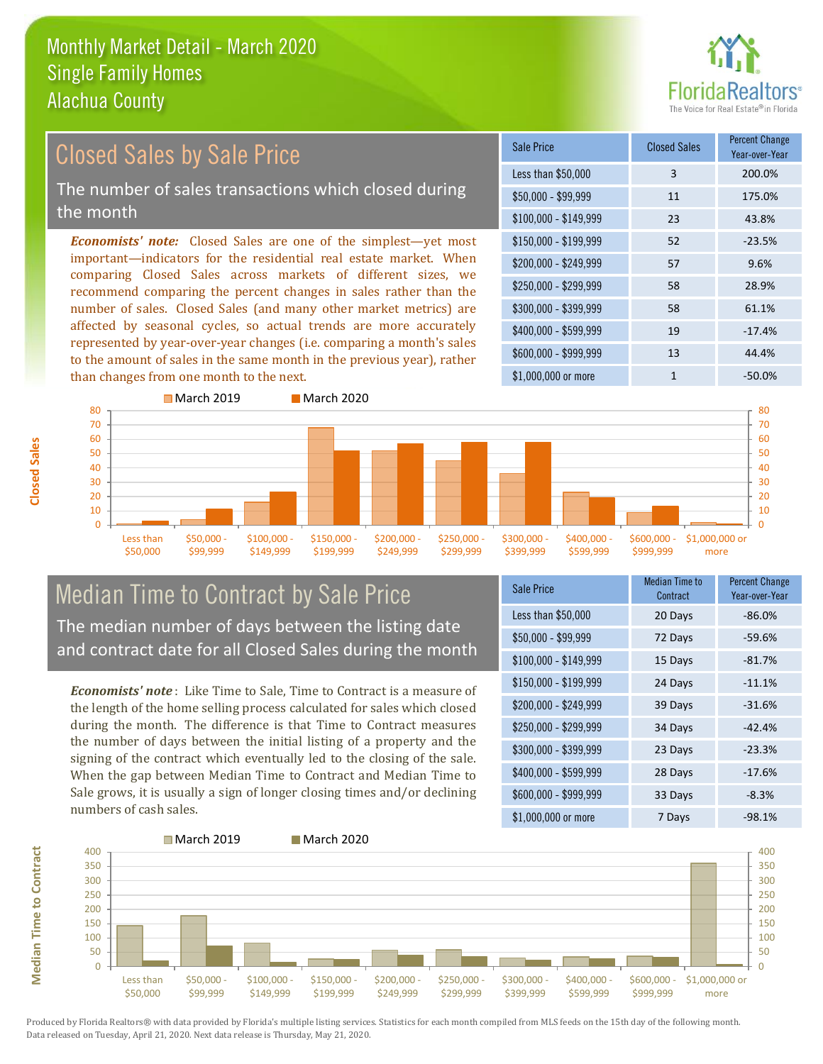

### *Economists' note:* Closed Sales are one of the simplest—yet most important—indicators for the residential real estate market. When comparing Closed Sales across markets of different sizes, we recommend comparing the percent changes in sales rather than the number of sales. Closed Sales (and many other market metrics) are affected by seasonal cycles, so actual trends are more accurately represented by year-over-year changes (i.e. comparing a month's sales to the amount of sales in the same month in the previous year), rather than changes from one month to the next. \$1,000,000 or more 1  $-50.0\%$ \$250,000 - \$299,999 58 28.9% \$300,000 - \$399,999 58 61.1% \$400,000 - \$599,999 19 -17.4% \$600,000 - \$999,999 13 44.4% \$150,000 - \$199,999 52 -23.5% \$200,000 - \$249,999 57 9.6% \$100,000 - \$149,999 23 43.8% Sale Price Closed Sales Percent Change Year-over-Year Less than \$50,000 3 200.0% \$50,000 - \$99,999 11 175.0% Closed Sales by Sale Price The number of sales transactions which closed during the month



## Median Time to Contract by Sale Price The median number of days between the listing date and contract date for all Closed Sales during the month

*Economists' note* : Like Time to Sale, Time to Contract is a measure of the length of the home selling process calculated for sales which closed during the month. The difference is that Time to Contract measures the number of days between the initial listing of a property and the signing of the contract which eventually led to the closing of the sale. When the gap between Median Time to Contract and Median Time to Sale grows, it is usually a sign of longer closing times and/or declining numbers of cash sales.

| Sale Price            | <b>Median Time to</b><br>Contract | <b>Percent Change</b><br>Year-over-Year |
|-----------------------|-----------------------------------|-----------------------------------------|
| Less than \$50,000    | 20 Days                           | $-86.0%$                                |
| $$50,000 - $99,999$   | 72 Days                           | $-59.6%$                                |
| $$100,000 - $149,999$ | 15 Days                           | $-81.7%$                                |
| $$150,000 - $199,999$ | 24 Days                           | $-11.1%$                                |
| \$200,000 - \$249,999 | 39 Days                           | $-31.6%$                                |
| \$250,000 - \$299,999 | 34 Days                           | $-42.4%$                                |
| \$300,000 - \$399,999 | 23 Days                           | $-23.3%$                                |
| \$400,000 - \$599,999 | 28 Days                           | $-17.6%$                                |
| \$600,000 - \$999,999 | 33 Days                           | $-8.3%$                                 |
| \$1,000,000 or more   | 7 Days                            | $-98.1%$                                |



Produced by Florida Realtors® with data provided by Florida's multiple listing services. Statistics for each month compiled from MLS feeds on the 15th day of the following month. Data released on Tuesday, April 21, 2020. Next data release is Thursday, May 21, 2020.

**Median Time to Contract**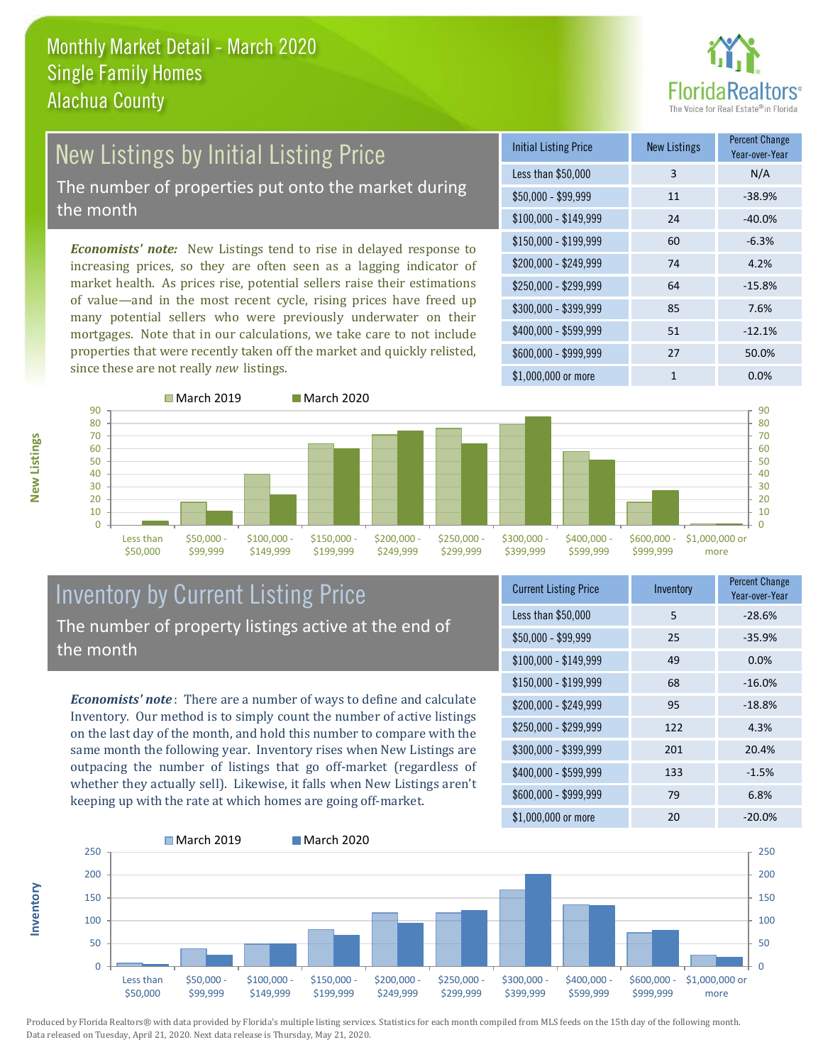

## New Listings by Initial Listing Price The number of properties put onto the market during

the month

*Economists' note:* New Listings tend to rise in delayed response to increasing prices, so they are often seen as a lagging indicator of market health. As prices rise, potential sellers raise their estimations of value—and in the most recent cycle, rising prices have freed up many potential sellers who were previously underwater on their mortgages. Note that in our calculations, we take care to not include properties that were recently taken off the market and quickly relisted, since these are not really *new* listings.

| <b>Initial Listing Price</b> | <b>New Listings</b> | <b>Percent Change</b><br>Year-over-Year |
|------------------------------|---------------------|-----------------------------------------|
| Less than \$50,000           | 3                   | N/A                                     |
| $$50,000 - $99,999$          | 11                  | $-38.9%$                                |
| $$100,000 - $149,999$        | 24                  | $-40.0%$                                |
| $$150,000 - $199,999$        | 60                  | $-6.3%$                                 |
| \$200,000 - \$249,999        | 74                  | 4.2%                                    |
| \$250,000 - \$299,999        | 64                  | $-15.8%$                                |
| \$300,000 - \$399,999        | 85                  | 7.6%                                    |
| \$400,000 - \$599,999        | 51                  | $-12.1%$                                |
| \$600,000 - \$999,999        | 27                  | 50.0%                                   |
| \$1,000,000 or more          | 1                   | $0.0\%$                                 |



### Inventory by Current Listing Price The number of property listings active at the end of the month

*Economists' note* : There are a number of ways to define and calculate Inventory. Our method is to simply count the number of active listings on the last day of the month, and hold this number to compare with the same month the following year. Inventory rises when New Listings are outpacing the number of listings that go off-market (regardless of whether they actually sell). Likewise, it falls when New Listings aren't keeping up with the rate at which homes are going off-market.

| <b>Current Listing Price</b> | Inventory | <b>Percent Change</b><br>Year-over-Year |
|------------------------------|-----------|-----------------------------------------|
| Less than \$50,000           | 5         | $-28.6%$                                |
| $$50,000 - $99,999$          | 25        | $-35.9%$                                |
| $$100,000 - $149,999$        | 49        | 0.0%                                    |
| $$150,000 - $199,999$        | 68        | $-16.0%$                                |
| \$200,000 - \$249,999        | 95        | $-18.8%$                                |
| \$250,000 - \$299,999        | 122       | 4.3%                                    |
| \$300,000 - \$399,999        | 201       | 20.4%                                   |
| \$400,000 - \$599,999        | 133       | $-1.5%$                                 |
| \$600,000 - \$999,999        | 79        | 6.8%                                    |
| $$1.000.000$ or more         | חר        | ∕ח∩ ∩מ                                  |



Produced by Florida Realtors® with data provided by Florida's multiple listing services. Statistics for each month compiled from MLS feeds on the 15th day of the following month. Data released on Tuesday, April 21, 2020. Next data release is Thursday, May 21, 2020.

**Inventory**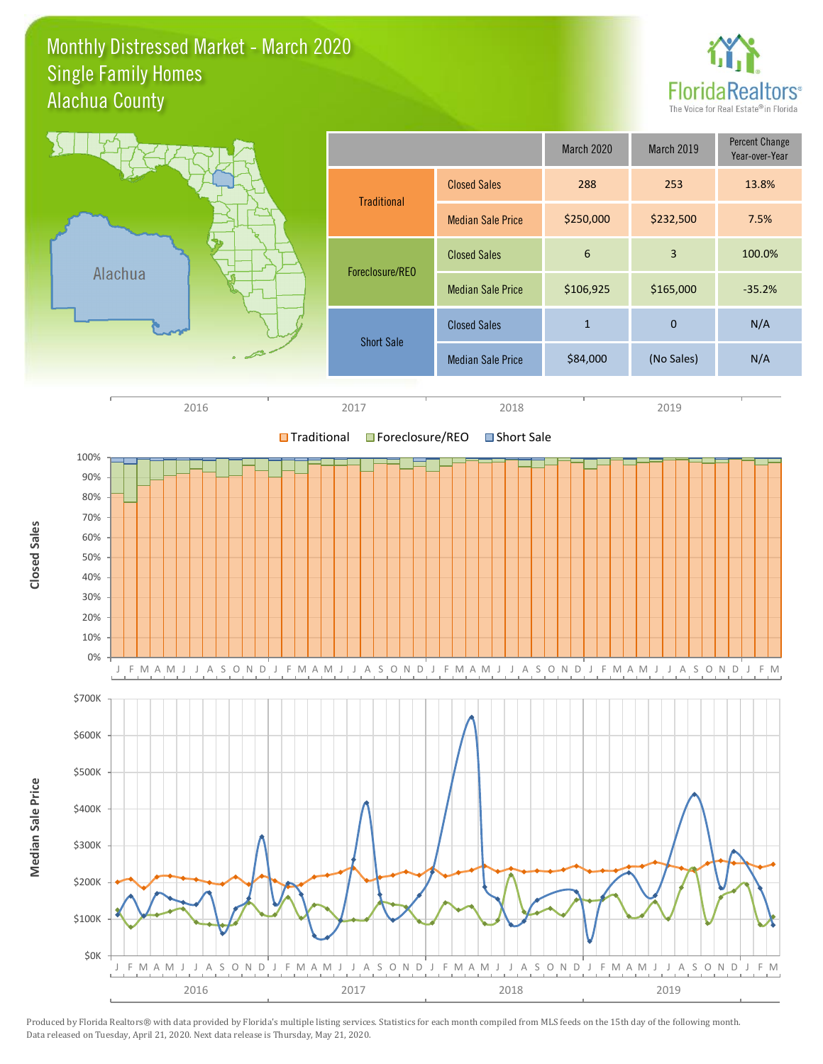### Monthly Distressed Market - March 2020 Alachua County Single Family Homes



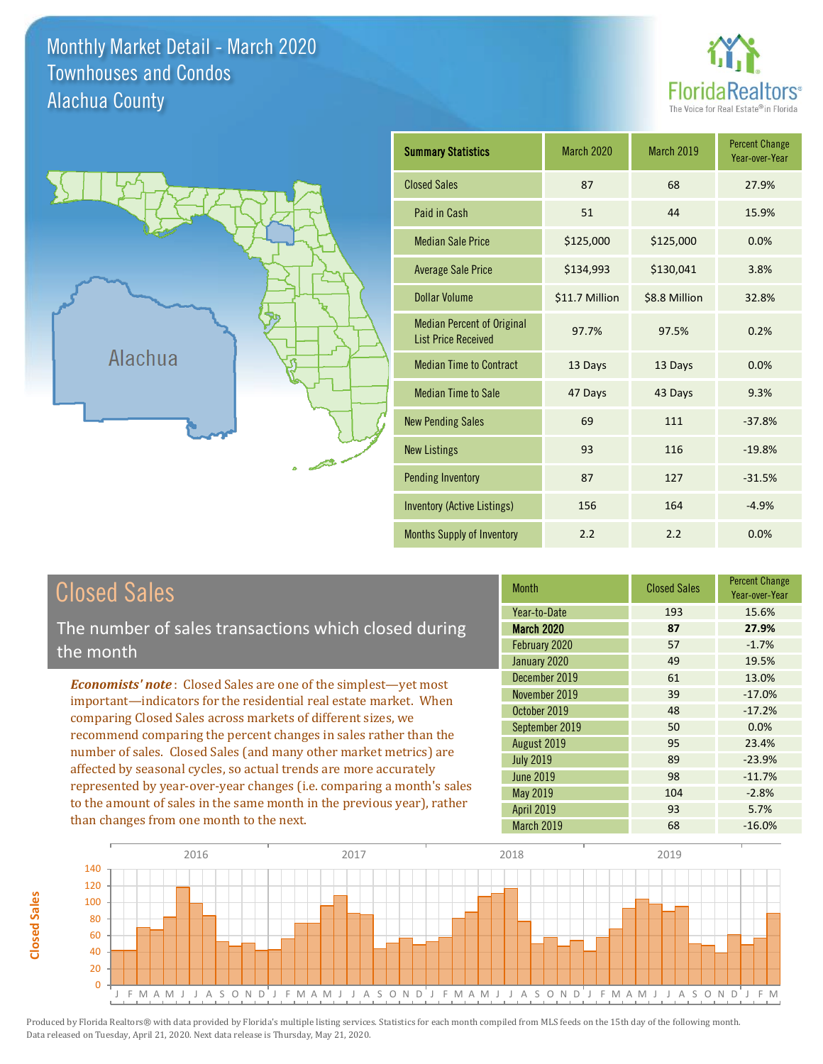Monthly Market Detail - March 2020 Alachua County Townhouses and Condos





**Closed Sales**

**Closed Sales** 

| <b>Summary Statistics</b>                                       | <b>March 2020</b> | <b>March 2019</b> | <b>Percent Change</b><br>Year-over-Year |
|-----------------------------------------------------------------|-------------------|-------------------|-----------------------------------------|
| <b>Closed Sales</b>                                             | 87                | 68                | 27.9%                                   |
| Paid in Cash                                                    | 51                | 44                | 15.9%                                   |
| <b>Median Sale Price</b>                                        | \$125,000         | \$125,000         | 0.0%                                    |
| <b>Average Sale Price</b>                                       | \$134,993         | \$130,041         | 3.8%                                    |
| <b>Dollar Volume</b>                                            | \$11.7 Million    | \$8.8 Million     | 32.8%                                   |
| <b>Median Percent of Original</b><br><b>List Price Received</b> | 97.7%             | 97.5%             | 0.2%                                    |
| <b>Median Time to Contract</b>                                  | 13 Days           | 13 Days           | 0.0%                                    |
| <b>Median Time to Sale</b>                                      | 47 Days           | 43 Days           | 9.3%                                    |
| <b>New Pending Sales</b>                                        | 69                | 111               | $-37.8%$                                |
| <b>New Listings</b>                                             | 93                | 116               | $-19.8%$                                |
| <b>Pending Inventory</b>                                        | 87                | 127               | $-31.5%$                                |
| Inventory (Active Listings)                                     | 156               | 164               | $-4.9%$                                 |
| <b>Months Supply of Inventory</b>                               | 2.2               | 2.2               | 0.0%                                    |

| <b>Closed Sales</b>                                                                                                                                                                                                                                                                                                                                                                                                      | <b>Month</b>      | <b>Closed Sales</b> | <b>Percent Change</b><br>Year-over-Year |
|--------------------------------------------------------------------------------------------------------------------------------------------------------------------------------------------------------------------------------------------------------------------------------------------------------------------------------------------------------------------------------------------------------------------------|-------------------|---------------------|-----------------------------------------|
|                                                                                                                                                                                                                                                                                                                                                                                                                          | Year-to-Date      | 193                 | 15.6%                                   |
| The number of sales transactions which closed during                                                                                                                                                                                                                                                                                                                                                                     | <b>March 2020</b> | 87                  | 27.9%                                   |
| the month                                                                                                                                                                                                                                                                                                                                                                                                                | February 2020     | 57                  | $-1.7%$                                 |
|                                                                                                                                                                                                                                                                                                                                                                                                                          | January 2020      | 49                  | 19.5%                                   |
| <b>Economists' note:</b> Closed Sales are one of the simplest—yet most                                                                                                                                                                                                                                                                                                                                                   | December 2019     | 61                  | 13.0%                                   |
| important—indicators for the residential real estate market. When<br>comparing Closed Sales across markets of different sizes, we<br>recommend comparing the percent changes in sales rather than the<br>number of sales. Closed Sales (and many other market metrics) are<br>affected by seasonal cycles, so actual trends are more accurately<br>represented by year-over-year changes (i.e. comparing a month's sales | November 2019     | 39                  | $-17.0%$                                |
|                                                                                                                                                                                                                                                                                                                                                                                                                          | October 2019      | 48                  | $-17.2%$                                |
|                                                                                                                                                                                                                                                                                                                                                                                                                          | September 2019    | 50                  | 0.0%                                    |
|                                                                                                                                                                                                                                                                                                                                                                                                                          | August 2019       | 95                  | 23.4%                                   |
|                                                                                                                                                                                                                                                                                                                                                                                                                          | <b>July 2019</b>  | 89                  | $-23.9%$                                |
|                                                                                                                                                                                                                                                                                                                                                                                                                          | <b>June 2019</b>  | 98                  | $-11.7%$                                |
|                                                                                                                                                                                                                                                                                                                                                                                                                          | May 2019          | 104                 | $-2.8%$                                 |
| to the amount of sales in the same month in the previous year), rather                                                                                                                                                                                                                                                                                                                                                   | <b>April 2019</b> | 93                  | 5.7%                                    |
| than changes from one month to the next.                                                                                                                                                                                                                                                                                                                                                                                 | March 2019        | 68                  | $-16.0\%$                               |

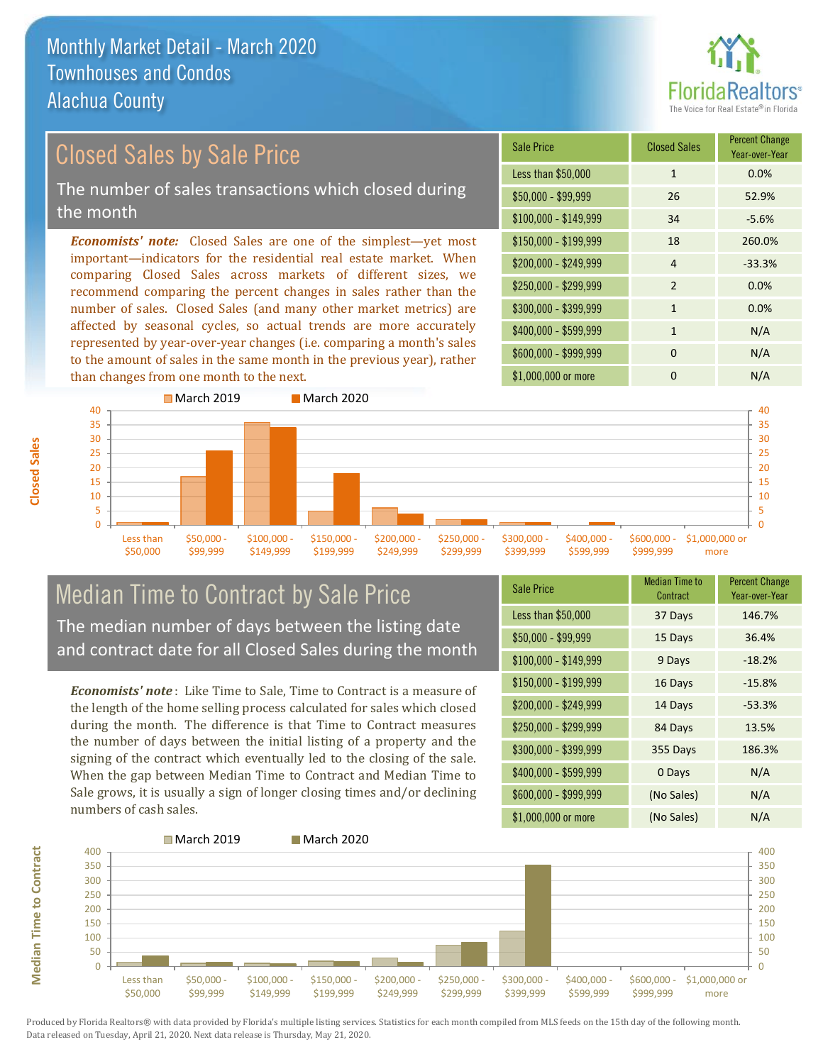

### *Economists' note:* Closed Sales are one of the simplest—yet most important—indicators for the residential real estate market. When comparing Closed Sales across markets of different sizes, we Closed Sales by Sale Price The number of sales transactions which closed during the month

recommend comparing the percent changes in sales rather than the number of sales. Closed Sales (and many other market metrics) are affected by seasonal cycles, so actual trends are more accurately represented by year-over-year changes (i.e. comparing a month's sales to the amount of sales in the same month in the previous year), rather than changes from one month to the next.





## Median Time to Contract by Sale Price The median number of days between the listing date and contract date for all Closed Sales during the month

*Economists' note* : Like Time to Sale, Time to Contract is a measure of the length of the home selling process calculated for sales which closed during the month. The difference is that Time to Contract measures the number of days between the initial listing of a property and the signing of the contract which eventually led to the closing of the sale. When the gap between Median Time to Contract and Median Time to Sale grows, it is usually a sign of longer closing times and/or declining numbers of cash sales.

| <b>Sale Price</b>     | Median Time to<br><b>Percent Change</b><br>Year-over-Year<br>Contract |          |
|-----------------------|-----------------------------------------------------------------------|----------|
| Less than \$50,000    | 37 Days                                                               | 146.7%   |
| $$50,000 - $99,999$   | 15 Days                                                               | 36.4%    |
| $$100,000 - $149,999$ | 9 Days                                                                | $-18.2%$ |
| $$150,000 - $199,999$ | 16 Days                                                               | $-15.8%$ |
| \$200,000 - \$249,999 | 14 Days                                                               | $-53.3%$ |
| \$250,000 - \$299,999 | 84 Days                                                               | 13.5%    |
| \$300,000 - \$399,999 | 355 Days                                                              | 186.3%   |
| \$400,000 - \$599,999 | 0 Days                                                                | N/A      |
| \$600,000 - \$999,999 | (No Sales)                                                            | N/A      |
| \$1,000,000 or more   | (No Sales)                                                            | N/A      |



**Closed Sales**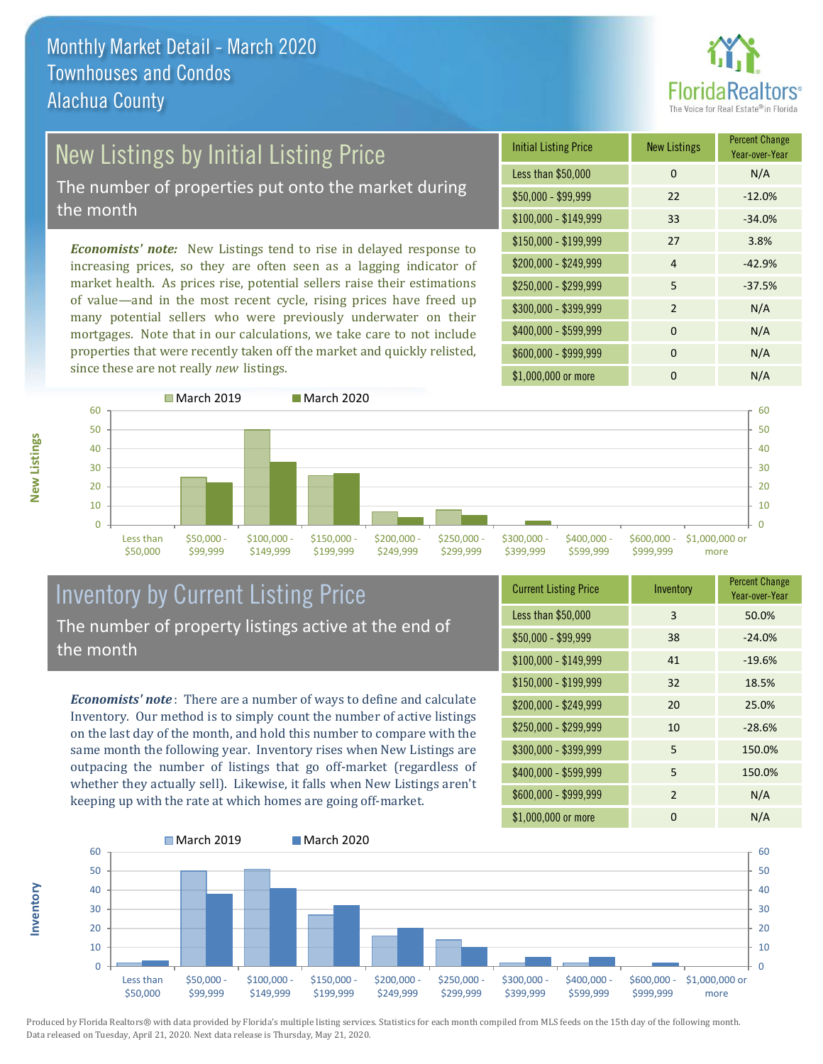

# **New Listings by Initial Listing Price**

The number of properties put onto the market during the month

*Economists' note:* New Listings tend to rise in delayed response to increasing prices, so they are often seen as a lagging indicator of market health. As prices rise, potential sellers raise their estimations of value—and in the most recent cycle, rising prices have freed up many potential sellers who were previously underwater on their mortgages. Note that in our calculations, we take care to not include properties that were recently taken off the market and quickly relisted, since these are not really *new* listings.

| <b>Initial Listing Price</b> | <b>New Listings</b> | <b>Percent Change</b><br>Year-over-Year |
|------------------------------|---------------------|-----------------------------------------|
| Less than \$50,000           | 0                   | N/A                                     |
| $$50,000 - $99,999$          | 22                  | $-12.0%$                                |
| $$100,000 - $149,999$        | 33                  | $-34.0%$                                |
| $$150,000 - $199,999$        | 27                  | 3.8%                                    |
| \$200,000 - \$249,999        | 4                   | $-42.9%$                                |
| \$250,000 - \$299,999        | 5                   | $-37.5%$                                |
| \$300,000 - \$399,999        | $\mathcal{P}$       | N/A                                     |
| \$400,000 - \$599,999        | $\Omega$            | N/A                                     |
| \$600,000 - \$999,999        | $\Omega$            | N/A                                     |
| \$1,000,000 or more          | n                   | N/A                                     |



### Inventory by Current Listing Price The number of property listings active at the end of the month

*Economists' note* : There are a number of ways to define and calculate Inventory. Our method is to simply count the number of active listings on the last day of the month, and hold this number to compare with the same month the following year. Inventory rises when New Listings are outpacing the number of listings that go off-market (regardless of whether they actually sell). Likewise, it falls when New Listings aren't keeping up with the rate at which homes are going off-market.

| <b>Current Listing Price</b> | Inventory      | <b>Percent Change</b><br>Year-over-Year |
|------------------------------|----------------|-----------------------------------------|
| Less than \$50,000           | 3              | 50.0%                                   |
| $$50,000 - $99,999$          | 38             | $-24.0%$                                |
| $$100,000 - $149,999$        | 41             | $-19.6%$                                |
| $$150,000 - $199,999$        | 32             | 18.5%                                   |
| \$200,000 - \$249,999        | 20             | 25.0%                                   |
| \$250,000 - \$299,999        | 10             | $-28.6%$                                |
| \$300,000 - \$399,999        | 5              | 150.0%                                  |
| \$400,000 - \$599,999        | 5              | 150.0%                                  |
| \$600,000 - \$999,999        | $\overline{2}$ | N/A                                     |
| \$1,000,000 or more          | 0              | N/A                                     |



Produced by Florida Realtors® with data provided by Florida's multiple listing services. Statistics for each month compiled from MLS feeds on the 15th day of the following month. Data released on Tuesday, April 21, 2020. Next data release is Thursday, May 21, 2020.

**Inventory**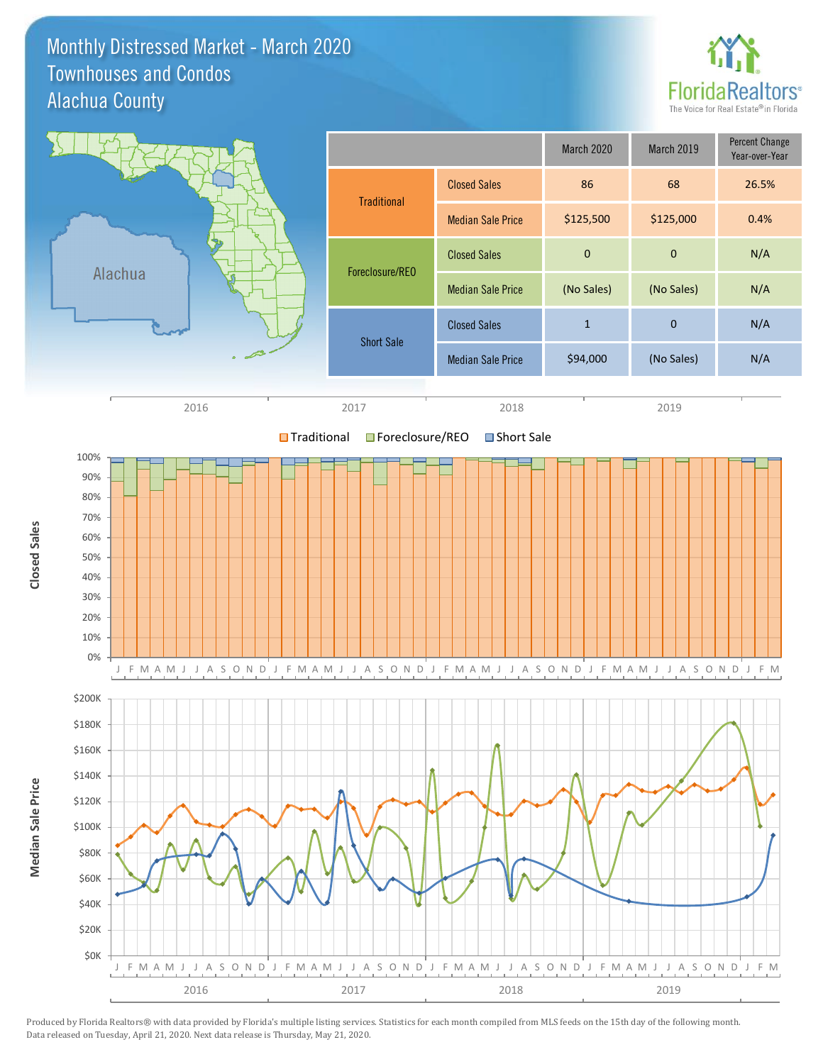### Monthly Distressed Market - March 2020 Alachua County Townhouses and Condos



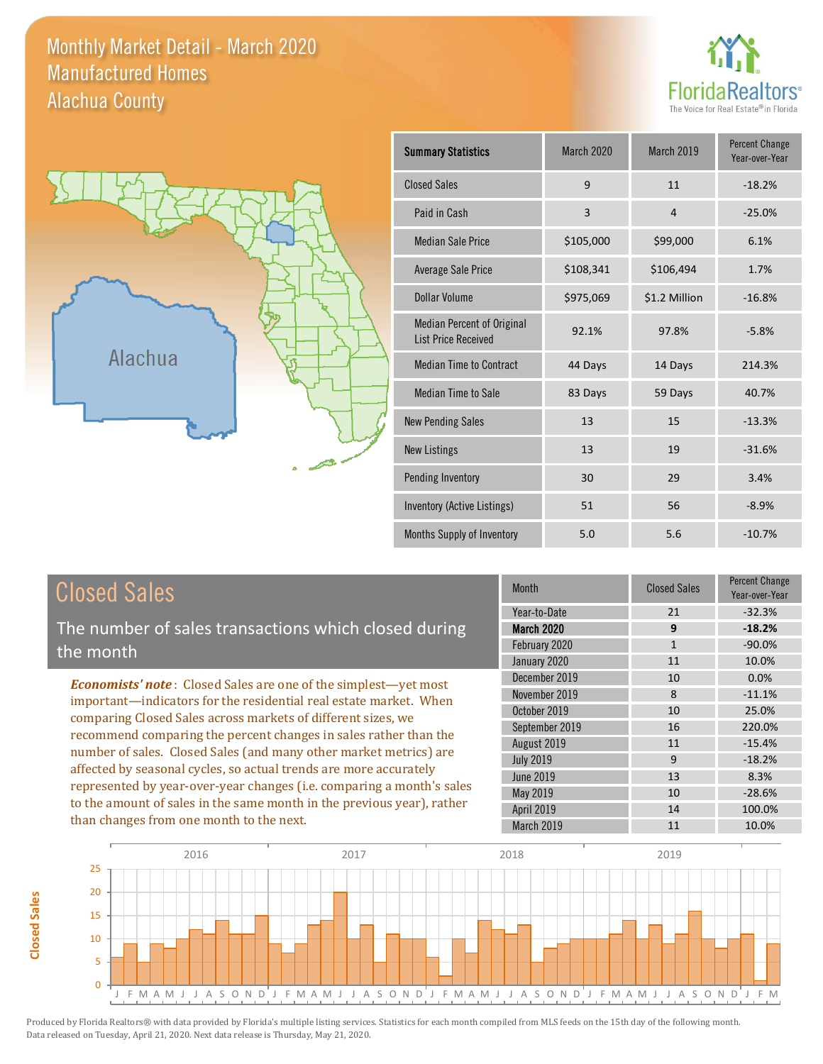Monthly Market Detail - March 2020 Alachua County Manufactured Homes





**Closed Sales**

**Closed Sales** 

| <b>Summary Statistics</b>                                | <b>March 2020</b> | <b>March 2019</b> | <b>Percent Change</b><br>Year-over-Year |  |
|----------------------------------------------------------|-------------------|-------------------|-----------------------------------------|--|
| <b>Closed Sales</b>                                      | 9                 | 11                | $-18.2%$                                |  |
| Paid in Cash                                             | 3                 | $\overline{4}$    | $-25.0%$                                |  |
| <b>Median Sale Price</b>                                 | \$105,000         | \$99,000          | 6.1%                                    |  |
| Average Sale Price                                       | \$108,341         | \$106,494         | 1.7%                                    |  |
| Dollar Volume                                            | \$975,069         | \$1.2 Million     | $-16.8%$                                |  |
| Median Percent of Original<br><b>List Price Received</b> | 92.1%             | 97.8%             | $-5.8%$                                 |  |
| <b>Median Time to Contract</b>                           | 44 Days           | 14 Days           | 214.3%                                  |  |
| <b>Median Time to Sale</b>                               | 83 Days           | 59 Days           | 40.7%                                   |  |
| <b>New Pending Sales</b>                                 | 13                | 15                | $-13.3%$                                |  |
| <b>New Listings</b>                                      | 13                | 19                | $-31.6%$                                |  |
| Pending Inventory                                        | 30                | 29                | 3.4%                                    |  |
| Inventory (Active Listings)                              | 51                | 56                | $-8.9%$                                 |  |
| Months Supply of Inventory                               | 5.0               | 5.6               | $-10.7%$                                |  |

| <b>Closed Sales</b>                                                                                                                                                                                                                                                                                                                                                                                                                                                                                                                                                                                                      | <b>Month</b>                                                                                                                                             | <b>Closed Sales</b>                                    | <b>Percent Change</b><br>Year-over-Year                                                            |
|--------------------------------------------------------------------------------------------------------------------------------------------------------------------------------------------------------------------------------------------------------------------------------------------------------------------------------------------------------------------------------------------------------------------------------------------------------------------------------------------------------------------------------------------------------------------------------------------------------------------------|----------------------------------------------------------------------------------------------------------------------------------------------------------|--------------------------------------------------------|----------------------------------------------------------------------------------------------------|
| The number of sales transactions which closed during<br>the month                                                                                                                                                                                                                                                                                                                                                                                                                                                                                                                                                        | Year-to-Date<br><b>March 2020</b><br>February 2020<br>January 2020                                                                                       | 21<br>9<br>$\mathbf{1}$<br>11                          | $-32.3%$<br>$-18.2%$<br>$-90.0%$<br>10.0%                                                          |
| <b>Economists' note:</b> Closed Sales are one of the simplest—yet most<br>important—indicators for the residential real estate market. When<br>comparing Closed Sales across markets of different sizes, we<br>recommend comparing the percent changes in sales rather than the<br>number of sales. Closed Sales (and many other market metrics) are<br>affected by seasonal cycles, so actual trends are more accurately<br>represented by year-over-year changes (i.e. comparing a month's sales<br>to the amount of sales in the same month in the previous year), rather<br>than changes from one month to the next. | December 2019<br>November 2019<br>October 2019<br>September 2019<br>August 2019<br><b>July 2019</b><br>June 2019<br>May 2019<br>April 2019<br>March 2019 | 10<br>8<br>10<br>16<br>11<br>9<br>13<br>10<br>14<br>11 | 0.0%<br>$-11.1%$<br>25.0%<br>220.0%<br>$-15.4%$<br>$-18.2%$<br>8.3%<br>$-28.6%$<br>100.0%<br>10.0% |

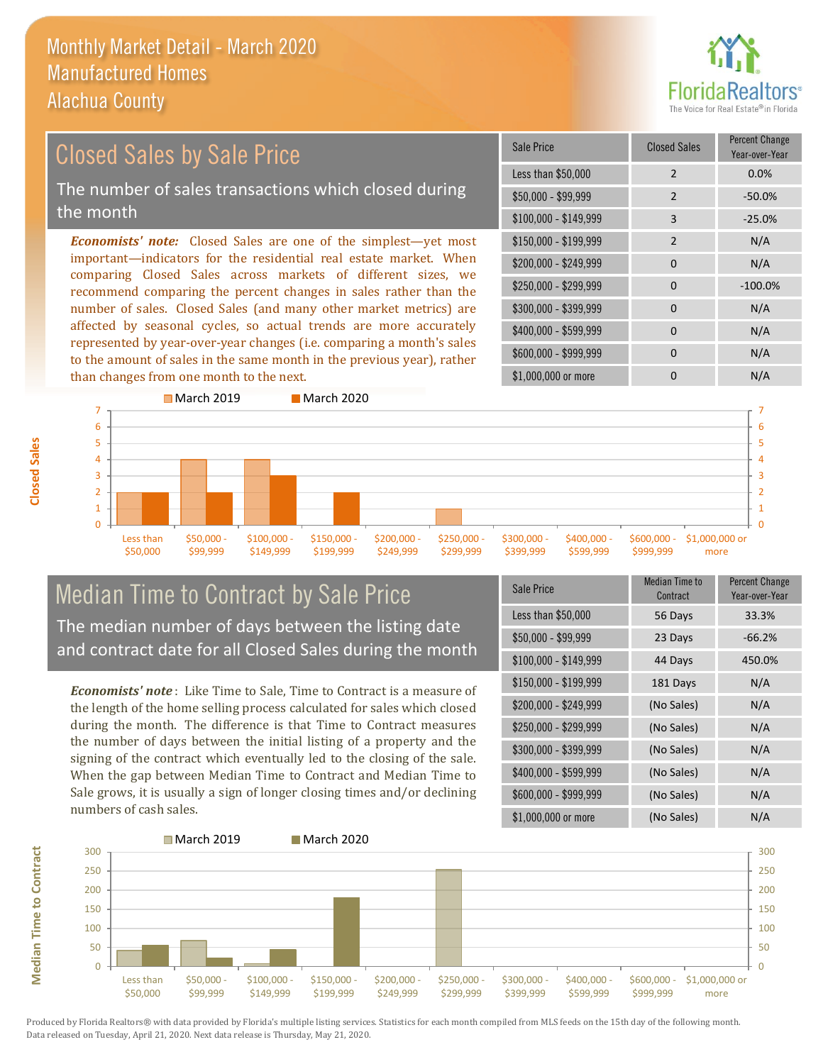

### *Economists' note:* Closed Sales are one of the simplest—yet most important—indicators for the residential real estate market. When comparing Closed Sales across markets of different sizes, we recommend comparing the percent changes in sales rather than the number of sales. Closed Sales (and many other market metrics) are affected by seasonal cycles, so actual trends are more accurately represented by year-over-year changes (i.e. comparing a month's sales to the amount of sales in the same month in the previous year), rather than changes from one month to the next. \$1,000,000 or more 0 0 N/A  $$250.000 - $299.999$  0  $-100.0\%$ \$300,000 - \$399,999 0 0 N/A  $$400,000 - $599,999$  0 N/A \$600,000 - \$999,999 0 0 N/A \$150,000 - \$199,999 2 N/A \$200,000 - \$249,999 0 0 N/A \$100,000 - \$149,999 3 -25.0% Sale Price Closed Sales Percent Change Year-over-Year Less than \$50,000 2 0.0% \$50,000 - \$99,999 2 -50.0% Closed Sales by Sale Price The number of sales transactions which closed during the month



## Median Time to Contract by Sale Price The median number of days between the listing date and contract date for all Closed Sales during the month

*Economists' note* : Like Time to Sale, Time to Contract is a measure of the length of the home selling process calculated for sales which closed during the month. The difference is that Time to Contract measures the number of days between the initial listing of a property and the signing of the contract which eventually led to the closing of the sale. When the gap between Median Time to Contract and Median Time to Sale grows, it is usually a sign of longer closing times and/or declining numbers of cash sales.

| Sale Price            | <b>Median Time to</b><br>Contract | <b>Percent Change</b><br>Year-over-Year |
|-----------------------|-----------------------------------|-----------------------------------------|
| Less than \$50,000    | 56 Days                           | 33.3%                                   |
| \$50,000 - \$99,999   | 23 Days                           | $-66.2%$                                |
| $$100,000 - $149,999$ | 44 Days                           | 450.0%                                  |
| $$150,000 - $199,999$ | 181 Days                          | N/A                                     |
| \$200,000 - \$249,999 | (No Sales)                        | N/A                                     |
| \$250,000 - \$299,999 | (No Sales)                        | N/A                                     |
| \$300,000 - \$399,999 | (No Sales)                        | N/A                                     |
| \$400,000 - \$599,999 | (No Sales)                        | N/A                                     |
| \$600,000 - \$999,999 | (No Sales)                        | N/A                                     |
| \$1,000,000 or more   | (No Sales)                        | N/A                                     |



**Median Time to Contract Median Time to Contract**

**Closed Sales**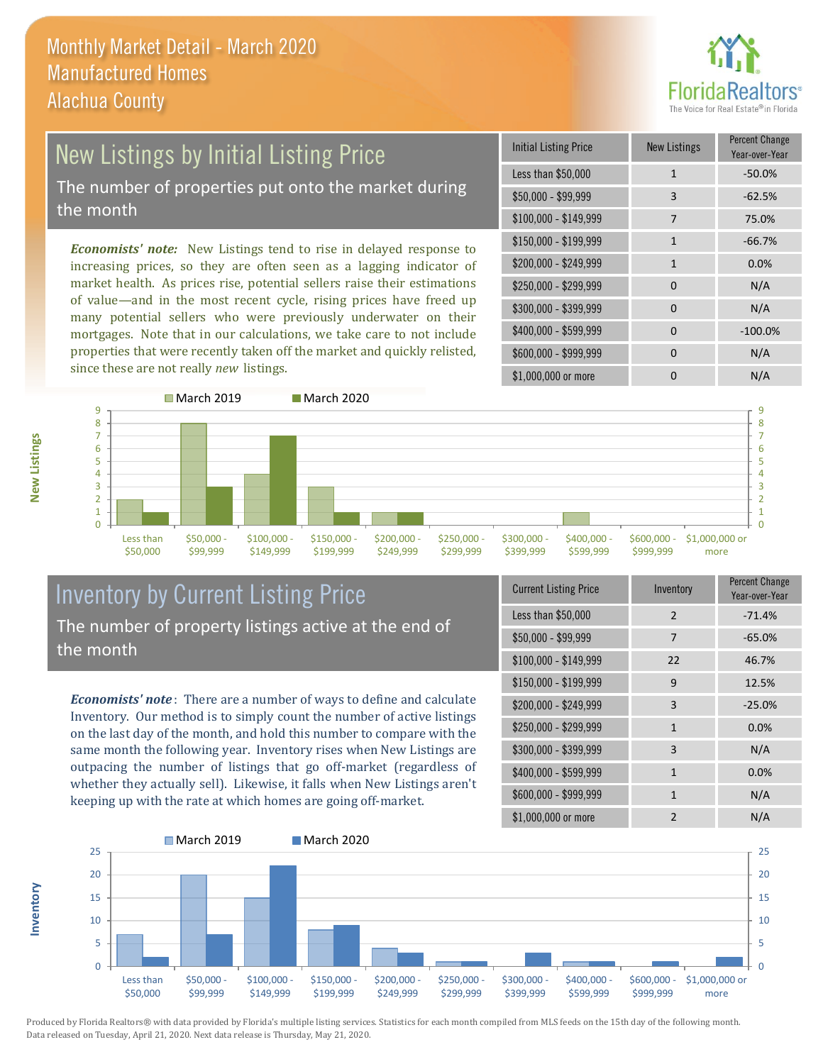

### New Listings by Initial Listing Price The number of properties put onto the market during the month

*Economists' note:* New Listings tend to rise in delayed response to increasing prices, so they are often seen as a lagging indicator of market health. As prices rise, potential sellers raise their estimations of value—and in the most recent cycle, rising prices have freed up many potential sellers who were previously underwater on their mortgages. Note that in our calculations, we take care to not include properties that were recently taken off the market and quickly relisted, since these are not really *new* listings.

| <b>Initial Listing Price</b> | <b>New Listings</b> | <b>Percent Change</b><br>Year-over-Year |
|------------------------------|---------------------|-----------------------------------------|
| Less than \$50,000           | $\mathbf{1}$        | $-50.0%$                                |
| $$50,000 - $99,999$          | 3                   | $-62.5%$                                |
| $$100,000 - $149,999$        | 7                   | 75.0%                                   |
| $$150,000 - $199,999$        | $\mathbf{1}$        | $-66.7%$                                |
| \$200,000 - \$249,999        | 1                   | 0.0%                                    |
| \$250,000 - \$299,999        | $\Omega$            | N/A                                     |
| \$300,000 - \$399,999        | 0                   | N/A                                     |
| \$400,000 - \$599,999        | $\Omega$            | $-100.0%$                               |
| \$600,000 - \$999,999        | $\Omega$            | N/A                                     |
| \$1,000,000 or more          |                     | N/A                                     |



## Inventory by Current Listing Price The number of property listings active at the end of the month

*Economists' note* : There are a number of ways to define and calculate Inventory. Our method is to simply count the number of active listings on the last day of the month, and hold this number to compare with the same month the following year. Inventory rises when New Listings are outpacing the number of listings that go off-market (regardless of whether they actually sell). Likewise, it falls when New Listings aren't keeping up with the rate at which homes are going off-market.

| <b>Current Listing Price</b> | Inventory      | Percent Change<br>Year-over-Year |
|------------------------------|----------------|----------------------------------|
| Less than \$50,000           | $\mathcal{P}$  | $-71.4%$                         |
| $$50,000 - $99,999$          | 7              | $-65.0%$                         |
| $$100,000 - $149,999$        | 22             | 46.7%                            |
| $$150,000 - $199,999$        | 9              | 12.5%                            |
| \$200,000 - \$249,999        | 3              | $-25.0%$                         |
| \$250,000 - \$299,999        | $\mathbf{1}$   | 0.0%                             |
| \$300,000 - \$399,999        | 3              | N/A                              |
| \$400,000 - \$599,999        | $\mathbf{1}$   | 0.0%                             |
| \$600,000 - \$999,999        | 1              | N/A                              |
| \$1,000,000 or more          | $\mathfrak{p}$ | N/A                              |



**New Listings**

**Inventory**